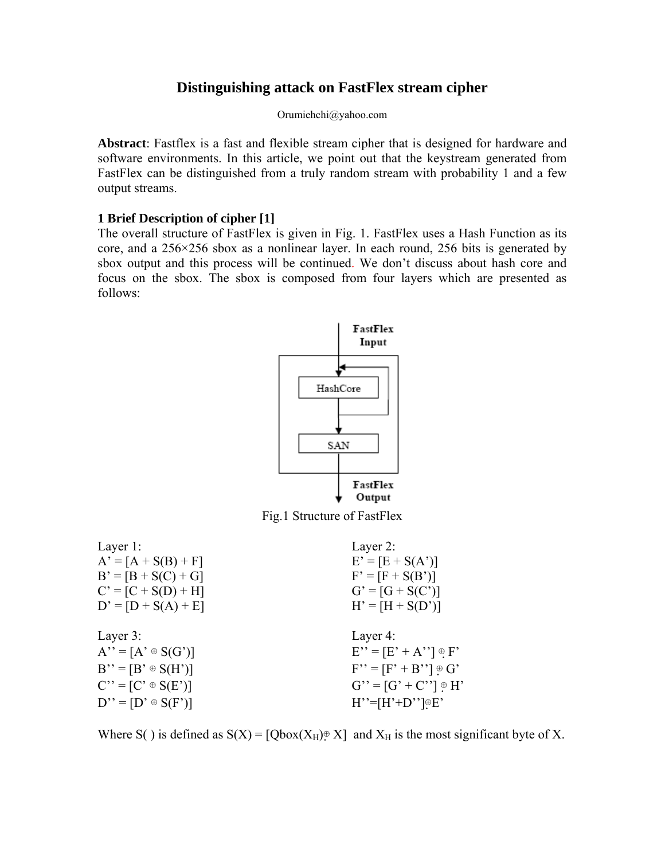# **Distinguishing attack on FastFlex stream cipher**

Orumiehchi@yahoo.com

**Abstract**: Fastflex is a fast and flexible stream cipher that is designed for hardware and software environments. In this article, we point out that the keystream generated from FastFlex can be distinguished from a truly random stream with probability 1 and a few output streams.

# **1 Brief Description of cipher [1]**

The overall structure of FastFlex is given in Fig. 1. FastFlex uses a Hash Function as its core, and a 256×256 sbox as a nonlinear layer. In each round, 256 bits is generated by sbox output and this process will be continued. We don't discuss about hash core and focus on the sbox. The sbox is composed from four layers which are presented as follows:





| Layer 1:                  | Layer 2:                     |
|---------------------------|------------------------------|
| $A' = [A + S(B) + F]$     | $E' = [E + S(A')]$           |
| $B' = [B + S(C) + G]$     | $F' = [F + S(B')]$           |
| $C' = [C + S(D) + H]$     | $G' = [G + S(C')]$           |
| $D' = [D + S(A) + E]$     | $H' = [H + S(D')]$           |
|                           |                              |
|                           |                              |
| Layer 3:                  | Layer 4:                     |
| $A'' = [A' \oplus S(G')]$ | $E'' = [E' + A''] \oplus F'$ |
| $B'' = [B' \oplus S(H')]$ | $F'' = [F' + B''] \oplus G'$ |
| $C'' = [C' \oplus S(E')]$ | $G'' = [G' + C''] \oplus H'$ |

Where S() is defined as  $S(X) = [Qbox(X_H) \oplus X]$  and  $X_H$  is the most significant byte of X.